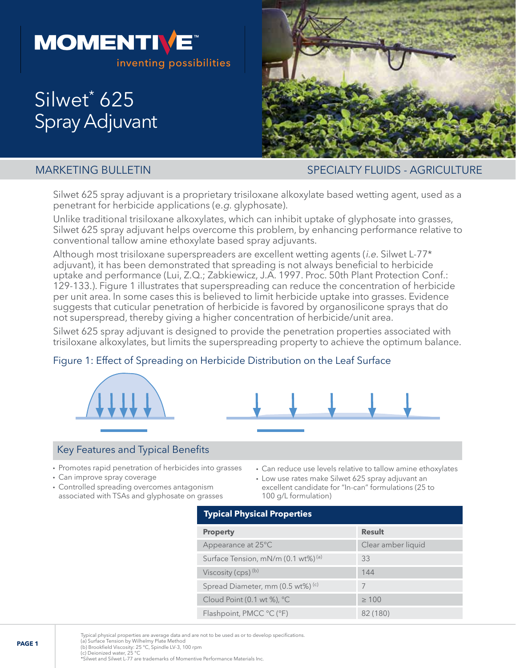

# Silwet<sup>\*</sup> 625 Spray Adjuvant



MARKETING BULLETIN SPECIALTY FLUIDS - AGRICULTURE

Silwet 625 spray adjuvant is a proprietary trisiloxane alkoxylate based wetting agent, used as a penetrant for herbicide applications (e.g. glyphosate).

Unlike traditional trisiloxane alkoxylates, which can inhibit uptake of glyphosate into grasses, Silwet 625 spray adjuvant helps overcome this problem, by enhancing performance relative to conventional tallow amine ethoxylate based spray adjuvants.

Although most trisiloxane superspreaders are excellent wetting agents (*i.e.* Silwet L-77\* adjuvant), it has been demonstrated that spreading is not always beneficial to herbicide uptake and performance (Lui, Z.Q.; Zabkiewicz, J.A. 1997. Proc. 50th Plant Protection Conf.: 129-133.). Figure 1 illustrates that superspreading can reduce the concentration of herbicide per unit area. In some cases this is believed to limit herbicide uptake into grasses. Evidence suggests that cuticular penetration of herbicide is favored by organosilicone sprays that do not superspread, thereby giving a higher concentration of herbicide/unit area.

Silwet 625 spray adjuvant is designed to provide the penetration properties associated with trisiloxane alkoxylates, but limits the superspreading property to achieve the optimum balance.

# Figure 1: Effect of Spreading on Herbicide Distribution on the Leaf Surface





# Key Features and Typical Benefits

- Promotes rapid penetration of herbicides into grasses
- Can improve spray coverage
- Controlled spreading overcomes antagonism associated with TSAs and glyphosate on grasses
- Can reduce use levels relative to tallow amine ethoxylates
- Low use rates make Silwet 625 spray adjuvant an excellent candidate for "In-can" formulations (25 to 100 g/L formulation)

# **Typical Physical Properties**

| <b>Property</b>                                  | <b>Result</b>      |
|--------------------------------------------------|--------------------|
| Appearance at 25°C                               | Clear amber liquid |
| Surface Tension, mN/m (0.1 wt%) <sup>(a)</sup>   | 33                 |
| Viscosity (cps) <sup>(b)</sup>                   | 144                |
| Spread Diameter, mm (0.5 wt%) (c)                |                    |
| Cloud Point $(0.1 \text{ wt } \%)$ , $^{\circ}C$ | $\geq 100$         |
| Flashpoint, PMCC °C (°F)                         | 82 (180)           |

Typical physical properties are average data and are not to be used as or to develop specifications. (a) Surface Tension by Wilhelmy Plate Method

(b) Brookfield Viscosity: 25 °C, Spindle LV-3, 100 rpm (c) Deionized water, 25 °C

\*Silwet and Silwet L-77 are trademarks of Momentive Performance Materials Inc.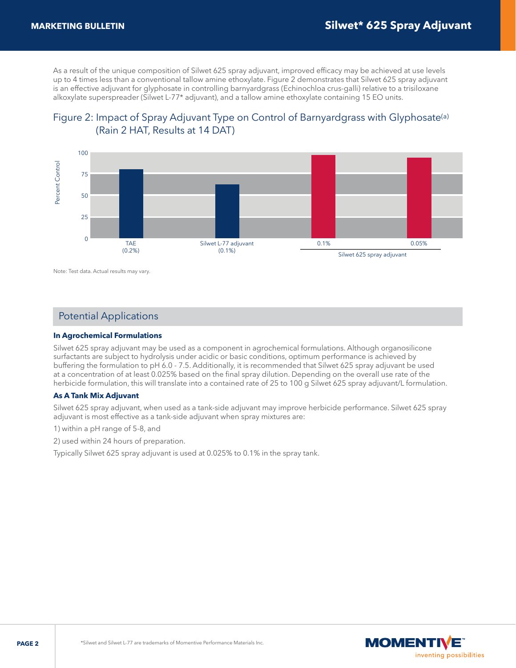As a result of the unique composition of Silwet 625 spray adjuvant, improved efficacy may be achieved at use levels up to 4 times less than a conventional tallow amine ethoxylate. Figure 2 demonstrates that Silwet 625 spray adjuvant is an effective adjuvant for glyphosate in controlling barnyardgrass (Echinochloa crus-galli) relative to a trisiloxane alkoxylate superspreader (Silwet L-77\* adjuvant), and a tallow amine ethoxylate containing 15 EO units.





Note: Test data. Actual results may vary.

# Potential Applications

#### **In Agrochemical Formulations**

Silwet 625 spray adjuvant may be used as a component in agrochemical formulations. Although organosilicone surfactants are subject to hydrolysis under acidic or basic conditions, optimum performance is achieved by buffering the formulation to pH 6.0 - 7.5. Additionally, it is recommended that Silwet 625 spray adjuvant be used at a concentration of at least 0.025% based on the final spray dilution. Depending on the overall use rate of the herbicide formulation, this will translate into a contained rate of 25 to 100 g Silwet 625 spray adjuvant/L formulation.

#### **As A Tank Mix Adjuvant**

Silwet 625 spray adjuvant, when used as a tank-side adjuvant may improve herbicide performance. Silwet 625 spray adjuvant is most effective as a tank-side adjuvant when spray mixtures are:

1) within a pH range of 5-8, and

2) used within 24 hours of preparation.

Typically Silwet 625 spray adjuvant is used at 0.025% to 0.1% in the spray tank.

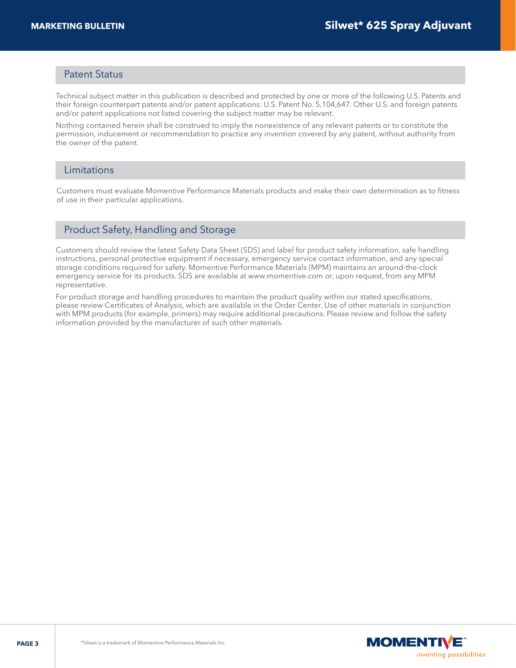# Patent Status

Technical subject matter in this publication is described and protected by one or more of the following U.S. Patents and their foreign counterpart patents and/or patent applications: U.S. Patent No. 5,104,647. Other U.S. and foreign patents and/or patent applications not listed covering the subject matter may be relevant.

Nothing contained herein shall be construed to imply the nonexistence of any relevant patents or to constitute the permission, inducement or recommendation to practice any invention covered by any patent, without authority from the owner of the patent.

# Limitations

Customers must evaluate Momentive Performance Materials products and make their own determination as to fitness of use in their particular applications.

# Product Safety, Handling and Storage

Customers should review the latest Safety Data Sheet (SDS) and label for product safety information, safe handling instructions, personal protective equipment if necessary, emergency service contact information, and any special storage conditions required for safety. Momentive Performance Materials (MPM) maintains an around-the-clock emergency service for its products. SDS are available at www.momentive.com or, upon request, from any MPM representative.

For product storage and handling procedures to maintain the product quality within our stated specifications, please review Certificates of Analysis, which are available in the Order Center. Use of other materials in conjunction with MPM products (for example, primers) may require additional precautions. Please review and follow the safety information provided by the manufacturer of such other materials.